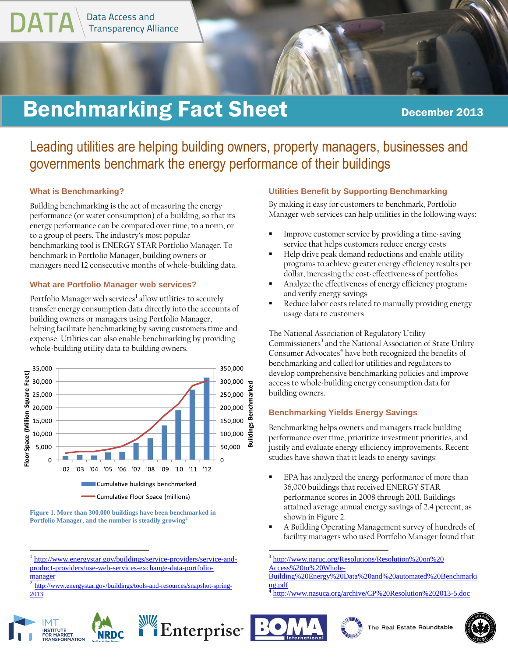

# **Benchmarking Fact Sheet December 2013**

# Leading utilities are helping building owners, property managers, businesses and governments benchmark the energy performance of their buildings

### **What is Benchmarking?**

Building benchmarking is the act of measuring the energy performance (or water consumption) of a building, so that its energy performance can be compared over time, to a norm, or to a group of peers. The industry's most popular benchmarking tool is ENERGY STAR Portfolio Manager. To benchmark in Portfolio Manager, building owners or managers need 12 consecutive months of whole-building data.

### **What are Portfolio Manager web services?**

Portfolio Manager web services<sup>1</sup> allow utilities to securely transfer energy consumption data directly into the accounts of building owners or managers using Portfolio Manager, helping facilitate benchmarking by saving customers time and expense. Utilities can also enable benchmarking by providing whole-building utility data to building owners.



**Figure 1. More than 300,000 buildings have been benchmarked in Portfolio Manager, and the number is steadily growing<sup>2</sup>**

[http://www.energystar.gov/buildings/tools-and-resources/snapshot-spring-](http://www.energystar.gov/buildings/tools-and-resources/snapshot-spring-2013)[2013](http://www.energystar.gov/buildings/tools-and-resources/snapshot-spring-2013)



### **Utilities Benefit by Supporting Benchmarking**

By making it easy for customers to benchmark, Portfolio Manager web services can help utilities in the following ways:

- Improve customer service by providing a time-saving service that helps customers reduce energy costs
- Help drive peak demand reductions and enable utility programs to achieve greater energy efficiency results per dollar, increasing the cost-effectiveness of portfolios
- Analyze the effectiveness of energy efficiency programs and verify energy savings
- Reduce labor costs related to manually providing energy usage data to customers

The National Association of Regulatory Utility Commissioners<sup>3</sup> and the National Association of State Utility Consumer Advocates<sup>4</sup> have both recognized the benefits of benchmarking and called for utilities and regulators to develop comprehensive benchmarking policies and improve access to whole-building energy consumption data for building owners.

### **Benchmarking Yields Energy Savings**

Benchmarking helps owners and managers track building performance over time, prioritize investment priorities, and justify and evaluate energy efficiency improvements. Recent studies have shown that it leads to energy savings:

- EPA has analyzed the energy performance of more than 36,000 buildings that received ENERGY STAR performance scores in 2008 through 2011. Buildings attained average annual energy savings of 2.4 percent, as shown in Figure 2.
- A Building Operating Management survey of hundreds of facility managers who used Portfolio Manager found that

3 [http://www.naruc.org/Resolutions/Resolution%20on%20](http://www.naruc.org/Resolutions/Resolution%20on%20%20Access%20to%20Whole-Building%20Energy%20Data%20and%20automated%20Benchmarking.pdf)  [Access%20to%20Whole-](http://www.naruc.org/Resolutions/Resolution%20on%20%20Access%20to%20Whole-Building%20Energy%20Data%20and%20automated%20Benchmarking.pdf)

<sup>4</sup> <http://www.nasuca.org/archive/CP%20Resolution%202013-5.doc>







<sup>&</sup>lt;sup>1</sup> [http://www.energystar.gov/buildings/service-providers/service-and](http://www.energystar.gov/buildings/service-providers/service-and-product-providers/use-web-services-exchange-data-portfolio-manager)[product-providers/use-web-services-exchange-data-portfolio](http://www.energystar.gov/buildings/service-providers/service-and-product-providers/use-web-services-exchange-data-portfolio-manager) $\frac{\text{manager}}{2 \cdot \text{Length}}$  $\frac{\text{manager}}{2 \cdot \text{Length}}$  $\frac{\text{manager}}{2 \cdot \text{Length}}$ 

[Building%20Energy%20Data%20and%20automated%20Benchmarki](http://www.naruc.org/Resolutions/Resolution%20on%20%20Access%20to%20Whole-Building%20Energy%20Data%20and%20automated%20Benchmarking.pdf) [ng.pdf](http://www.naruc.org/Resolutions/Resolution%20on%20%20Access%20to%20Whole-Building%20Energy%20Data%20and%20automated%20Benchmarking.pdf)